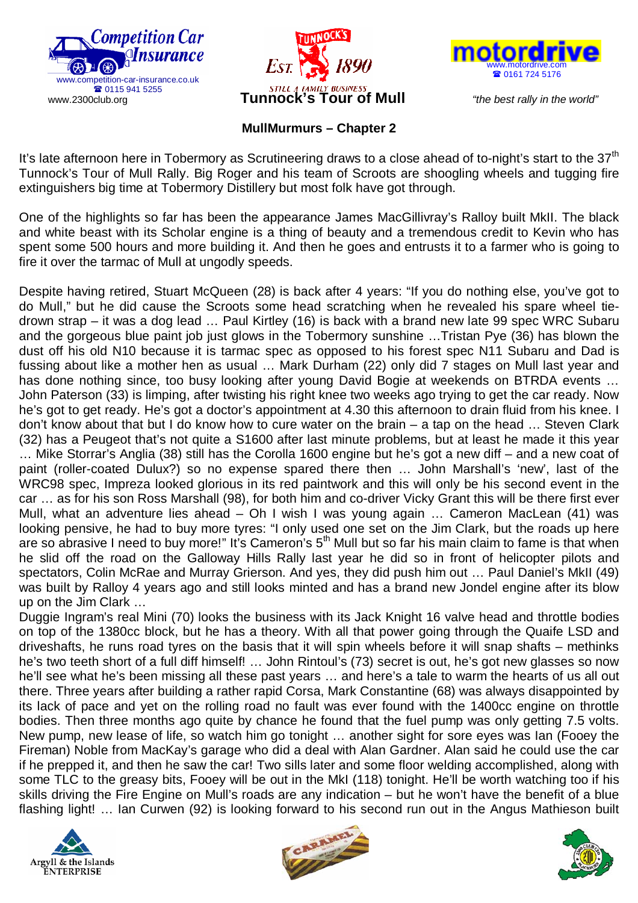





## **MullMurmurs – Chapter 2**

It's late afternoon here in Tobermory as Scrutineering draws to a close ahead of to-night's start to the  $37<sup>th</sup>$ Tunnock's Tour of Mull Rally. Big Roger and his team of Scroots are shoogling wheels and tugging fire extinguishers big time at Tobermory Distillery but most folk have got through.

One of the highlights so far has been the appearance James MacGillivray's Ralloy built MkII. The black and white beast with its Scholar engine is a thing of beauty and a tremendous credit to Kevin who has spent some 500 hours and more building it. And then he goes and entrusts it to a farmer who is going to fire it over the tarmac of Mull at ungodly speeds.

Despite having retired, Stuart McQueen (28) is back after 4 years: "If you do nothing else, you've got to do Mull," but he did cause the Scroots some head scratching when he revealed his spare wheel tiedrown strap – it was a dog lead … Paul Kirtley (16) is back with a brand new late 99 spec WRC Subaru and the gorgeous blue paint job just glows in the Tobermory sunshine …Tristan Pye (36) has blown the dust off his old N10 because it is tarmac spec as opposed to his forest spec N11 Subaru and Dad is fussing about like a mother hen as usual … Mark Durham (22) only did 7 stages on Mull last year and has done nothing since, too busy looking after young David Bogie at weekends on BTRDA events … John Paterson (33) is limping, after twisting his right knee two weeks ago trying to get the car ready. Now he's got to get ready. He's got a doctor's appointment at 4.30 this afternoon to drain fluid from his knee. I don't know about that but I do know how to cure water on the brain – a tap on the head … Steven Clark (32) has a Peugeot that's not quite a S1600 after last minute problems, but at least he made it this year … Mike Storrar's Anglia (38) still has the Corolla 1600 engine but he's got a new diff – and a new coat of paint (roller-coated Dulux?) so no expense spared there then … John Marshall's 'new', last of the WRC98 spec, Impreza looked glorious in its red paintwork and this will only be his second event in the car … as for his son Ross Marshall (98), for both him and co-driver Vicky Grant this will be there first ever Mull, what an adventure lies ahead – Oh I wish I was young again … Cameron MacLean (41) was looking pensive, he had to buy more tyres: "I only used one set on the Jim Clark, but the roads up here are so abrasive I need to buy more!" It's Cameron's  $5<sup>th</sup>$  Mull but so far his main claim to fame is that when he slid off the road on the Galloway Hills Rally last year he did so in front of helicopter pilots and spectators, Colin McRae and Murray Grierson. And yes, they did push him out … Paul Daniel's MkII (49) was built by Ralloy 4 years ago and still looks minted and has a brand new Jondel engine after its blow up on the Jim Clark …

Duggie Ingram's real Mini (70) looks the business with its Jack Knight 16 valve head and throttle bodies on top of the 1380cc block, but he has a theory. With all that power going through the Quaife LSD and driveshafts, he runs road tyres on the basis that it will spin wheels before it will snap shafts – methinks he's two teeth short of a full diff himself! … John Rintoul's (73) secret is out, he's got new glasses so now he'll see what he's been missing all these past years … and here's a tale to warm the hearts of us all out there. Three years after building a rather rapid Corsa, Mark Constantine (68) was always disappointed by its lack of pace and yet on the rolling road no fault was ever found with the 1400cc engine on throttle bodies. Then three months ago quite by chance he found that the fuel pump was only getting 7.5 volts. New pump, new lease of life, so watch him go tonight … another sight for sore eyes was Ian (Fooey the Fireman) Noble from MacKay's garage who did a deal with Alan Gardner. Alan said he could use the car if he prepped it, and then he saw the car! Two sills later and some floor welding accomplished, along with some TLC to the greasy bits, Fooey will be out in the MkI (118) tonight. He'll be worth watching too if his skills driving the Fire Engine on Mull's roads are any indication – but he won't have the benefit of a blue flashing light! … Ian Curwen (92) is looking forward to his second run out in the Angus Mathieson built